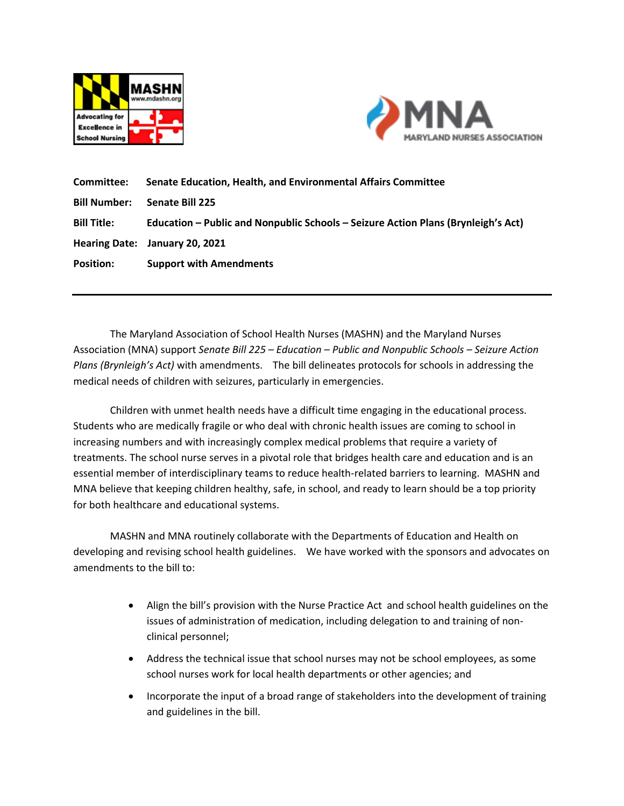



**Committee: Senate Education, Health, and Environmental Affairs Committee Bill Number: Senate Bill 225 Bill Title: Education – Public and Nonpublic Schools – Seizure Action Plans (Brynleigh's Act) Hearing Date: January 20, 2021 Position: Support with Amendments**

The Maryland Association of School Health Nurses (MASHN) and the Maryland Nurses Association (MNA) support *Senate Bill 225 – Education – Public and Nonpublic Schools – Seizure Action Plans (Brynleigh's Act)* with amendments. The bill delineates protocols for schools in addressing the medical needs of children with seizures, particularly in emergencies.

Children with unmet health needs have a difficult time engaging in the educational process. Students who are medically fragile or who deal with chronic health issues are coming to school in increasing numbers and with increasingly complex medical problems that require a variety of treatments. The school nurse serves in a pivotal role that bridges health care and education and is an essential member of interdisciplinary teams to reduce health-related barriers to learning. MASHN and MNA believe that keeping children healthy, safe, in school, and ready to learn should be a top priority for both healthcare and educational systems.

MASHN and MNA routinely collaborate with the Departments of Education and Health on developing and revising school health guidelines. We have worked with the sponsors and advocates on amendments to the bill to:

- Align the bill's provision with the Nurse Practice Act and school health guidelines on the issues of administration of medication, including delegation to and training of nonclinical personnel;
- Address the technical issue that school nurses may not be school employees, as some school nurses work for local health departments or other agencies; and
- Incorporate the input of a broad range of stakeholders into the development of training and guidelines in the bill.